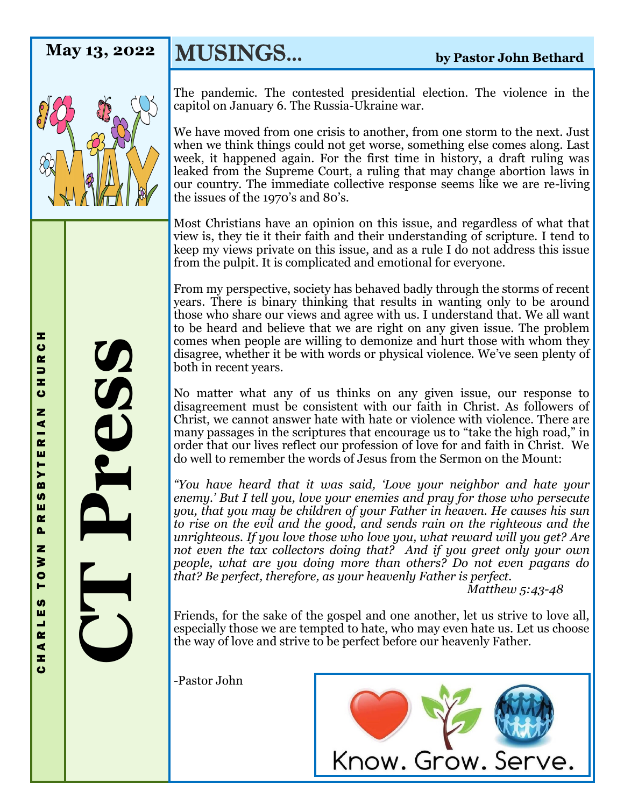### **May 13, 2022** MUSINGS... **by Pastor John Bethard**



The pandemic. The contested presidential election. The violence in the capitol on January 6. The Russia-Ukraine war.

We have moved from one crisis to another, from one storm to the next. Just when we think things could not get worse, something else comes along. Last week, it happened again. For the first time in history, a draft ruling was leaked from the Supreme Court, a ruling that may change abortion laws in our country. The immediate collective response seems like we are re-living the issues of the 1970's and 80's.

Most Christians have an opinion on this issue, and regardless of what that view is, they tie it their faith and their understanding of scripture. I tend to keep my views private on this issue, and as a rule I do not address this issue from the pulpit. It is complicated and emotional for everyone.

From my perspective, society has behaved badly through the storms of recent years. There is binary thinking that results in wanting only to be around those who share our views and agree with us. I understand that. We all want to be heard and believe that we are right on any given issue. The problem comes when people are willing to demonize and hurt those with whom they disagree, whether it be with words or physical violence. We've seen plenty of both in recent years.

No matter what any of us thinks on any given issue, our response to disagreement must be consistent with our faith in Christ. As followers of Christ, we cannot answer hate with hate or violence with violence. There are many passages in the scriptures that encourage us to "take the high road," in order that our lives reflect our profession of love for and faith in Christ. We do well to remember the words of Jesus from the Sermon on the Mount:

*"You have heard that it was said, 'Love your neighbor and hate your enemy.' But I tell you, love your enemies and pray for those who persecute you, that you may be children of your Father in heaven. He causes his sun to rise on the evil and the good, and sends rain on the righteous and the unrighteous. If you love those who love you, what reward will you get? Are not even the tax collectors doing that? And if you greet only your own people, what are you doing more than others? Do not even pagans do that? Be perfect, therefore, as your heavenly Father is perfect.*

*Matthew 5:43-48*

Friends, for the sake of the gospel and one another, let us strive to love all, especially those we are tempted to hate, who may even hate us. Let us choose the way of love and strive to be perfect before our heavenly Father.

-Pastor John



**CT Press**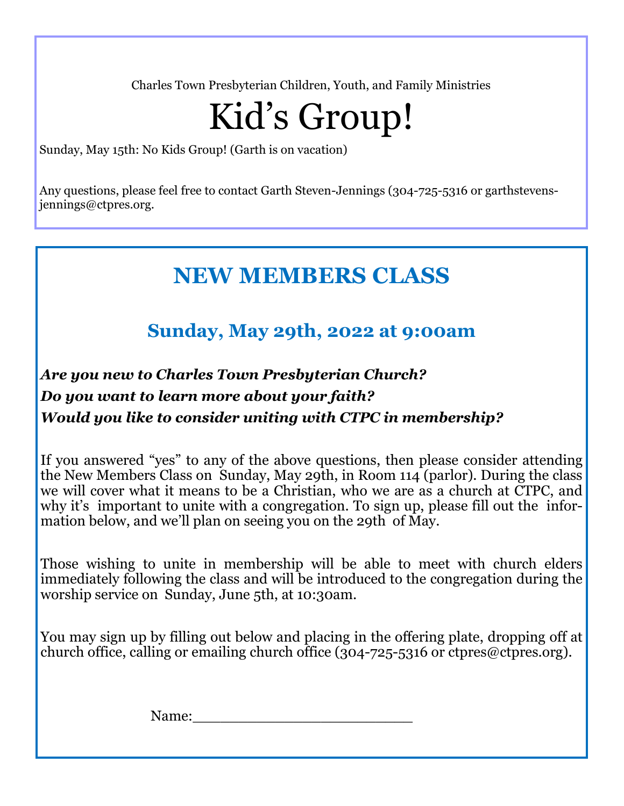Charles Town Presbyterian Children, Youth, and Family Ministries

# Kid's Group!

Sunday, May 15th: No Kids Group! (Garth is on vacation)

Any questions, please feel free to contact Garth Steven-Jennings (304-725-5316 or garthstevensjennings@ctpres.org.

## **NEW MEMBERS CLASS**

#### **Sunday, May 29th, 2022 at 9:00am**

#### *Are you new to Charles Town Presbyterian Church? Do you want to learn more about your faith? Would you like to consider uniting with CTPC in membership?*

If you answered "yes" to any of the above questions, then please consider attending the New Members Class on Sunday, May 29th, in Room 114 (parlor). During the class we will cover what it means to be a Christian, who we are as a church at CTPC, and why it's important to unite with a congregation. To sign up, please fill out the information below, and we'll plan on seeing you on the 29th of May.

Those wishing to unite in membership will be able to meet with church elders immediately following the class and will be introduced to the congregation during the worship service on Sunday, June 5th, at 10:30am.

You may sign up by filling out below and placing in the offering plate, dropping off at church office, calling or emailing church office (304-725-5316 or ctpres@ctpres.org).

Name: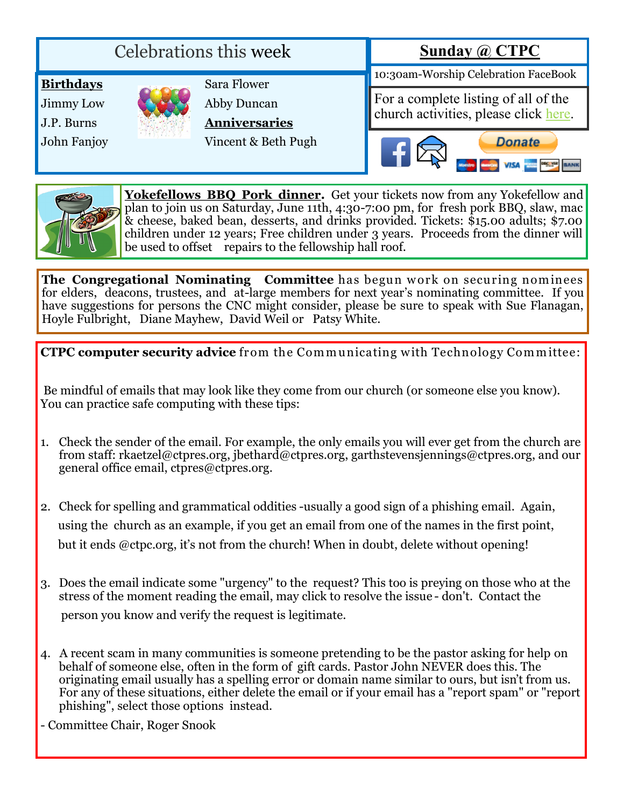#### Celebrations this week  **Sunday @ CTPC** 10:30am-Worship Celebration FaceBook **Birthdays** Sara Flower For a complete listing of all of the Abby Duncan Jimmy Low church activities, please click [here.](http://www.ctpres.org/events-calendar) J.P. Burns **Anniversaries**  John Fanjoy Vincent & Beth Pugh Donate **VISA**



Yokefellows **BBQ Pork dinner.** Get your tickets now from any Yokefellow and plan to join us on Saturday, June 11th, 4:30-7:00 pm, for fresh pork BBQ, slaw, mac & cheese, baked bean, desserts, and drinks provided. Tickets: \$15.00 adults; \$7.00 children under 12 years; Free children under 3 years. Proceeds from the dinner will be used to offset repairs to the fellowship hall roof.

**The Congregational Nominating Committee** has begun work on securing nominees for elders, deacons, trustees, and at-large members for next year's nominating committee. If you have suggestions for persons the CNC might consider, please be sure to speak with Sue Flanagan, Hoyle Fulbright, Diane Mayhew, David Weil or Patsy White.

**CTPC computer security advice** from the Communicating with Technology Committee:

Be mindful of emails that may look like they come from our church (or someone else you know). You can practice safe computing with these tips:

- 1. Check the sender of the email. For example, the only emails you will ever get from the church are from staff: rkaetzel@ctpres.org, jbethard@ctpres.org, garthstevensjennings@ctpres.org, and our general office email, ctpres@ctpres.org.
- 2. Check for spelling and grammatical oddities -usually a good sign of a phishing email. Again, using the church as an example, if you get an email from one of the names in the first point, but it ends @ctpc.org, it's not from the church! When in doubt, delete without opening!
- 3. Does the email indicate some "urgency" to the request? This too is preying on those who at the stress of the moment reading the email, may click to resolve the issue - don't. Contact the person you know and verify the request is legitimate.
- 4. A recent scam in many communities is someone pretending to be the pastor asking for help on behalf of someone else, often in the form of gift cards. Pastor John NEVER does this. The originating email usually has a spelling error or domain name similar to ours, but isn't from us. For any of these situations, either delete the email or if your email has a "report spam" or "report phishing", select those options instead.
- Committee Chair, Roger Snook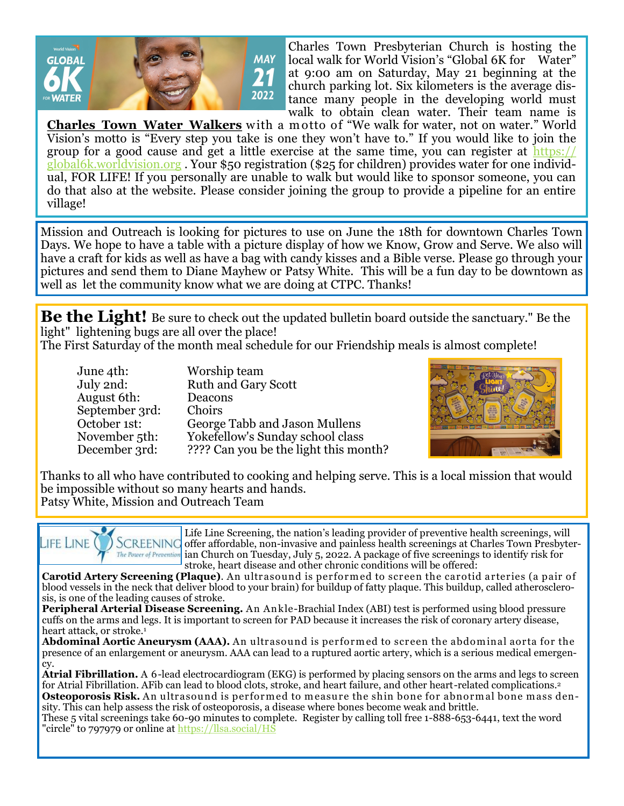

Charles Town Presbyterian Church is hosting the local walk for World Vision's "Global 6K for Water" at 9:00 am on Saturday, May 21 beginning at the church parking lot. Six kilometers is the average distance many people in the developing world must walk to obtain clean water. Their team name is

**Charles Town Water Walkers** with a motto of "We walk for water, not on water." World Vision's motto is "Every step you take is one they won't have to." If you would like to join the group for a good cause and get a little exercise at the same time, you can register at [https://](https://global6k.worldvision.org) [global6k.worldvision.org](https://global6k.worldvision.org) . Your \$50 registration (\$25 for children) provides water for one individual, FOR LIFE! If you personally are unable to walk but would like to sponsor someone, you can do that also at the website. Please consider joining the group to provide a pipeline for an entire village!

Mission and Outreach is looking for pictures to use on June the 18th for downtown Charles Town Days. We hope to have a table with a picture display of how we Know, Grow and Serve. We also will have a craft for kids as well as have a bag with candy kisses and a Bible verse. Please go through your pictures and send them to Diane Mayhew or Patsy White. This will be a fun day to be downtown as well as let the community know what we are doing at CTPC. Thanks!

**Be the Light!** Be sure to check out the updated bulletin board outside the sanctuary." Be the light" lightening bugs are all over the place!

The First Saturday of the month meal schedule for our Friendship meals is almost complete!

June 4th: Worship team July 2nd: Ruth and Gary Scott August 6th: Deacons September 3rd: Choirs October 1st: George Tabb and Jason Mullens<br>November 5th: Yokefellow's Sunday school class Yokefellow's Sunday school class December 3rd: ???? Can you be the light this month?



Thanks to all who have contributed to cooking and helping serve. This is a local mission that would be impossible without so many hearts and hands. Patsy White, Mission and Outreach Team

Life Line Screening, the nation's leading provider of preventive health screenings, will **SCREENING** Life Line ( offer affordable, non-invasive and painless health screenings at Charles Town Presbyter-The Power of Prevention ian Church on Tuesday, July 5, 2022. A package of five screenings to identify risk for stroke, heart disease and other chronic conditions will be offered:

**Carotid Artery Screening (Plaque)**. An ultrasound is perform ed to screen the carotid arteries (a pair of blood vessels in the neck that deliver blood to your brain) for buildup of fatty plaque. This buildup, called atherosclerosis, is one of the leading causes of stroke.

**Peripheral Arterial Disease Screening.** An Ankle-Brachial Index (ABI) test is performed using blood pressure cuffs on the arms and legs. It is important to screen for PAD because it increases the risk of coronary artery disease, heart attack, or stroke.<sup>1</sup>

**Abdominal Aortic Aneurysm (AAA).** An ultrasound is perform ed to screen the abdom inal aorta for the presence of an enlargement or aneurysm. AAA can lead to a ruptured aortic artery, which is a serious medical emergency.

**Atrial Fibrillation.** A 6-lead electrocardiogram (EKG) is performed by placing sensors on the arms and legs to screen for Atrial Fibrillation. AFib can lead to blood clots, stroke, and heart failure, and other heart-related complications.<sup>2</sup> **Osteoporosis Risk.** An ultrasound is performed to measure the shin bone for abnormal bone mass density. This can help assess the risk of osteoporosis, a disease where bones become weak and brittle.

These 5 vital screenings take 60-90 minutes to complete. Register by calling toll free 1-888-653-6441, text the word "circle" to 797979 or online at [https://llsa.social/HS](https://llsa.social/HSC)